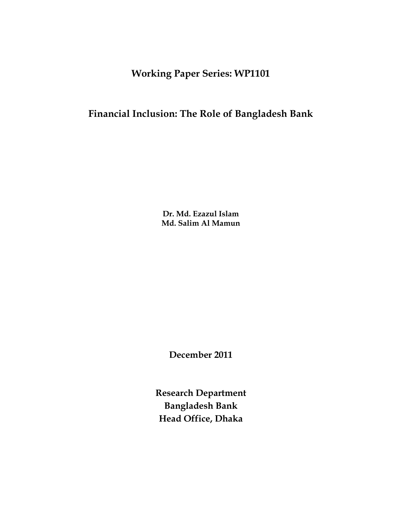**Working Paper Series: WP1101**

## **Financial Inclusion: The Role of Bangladesh Bank**

**Dr. Md. Ezazul Islam Md. Salim Al Mamun**

**December 2011**

**Research Department Bangladesh Bank Head Office, Dhaka**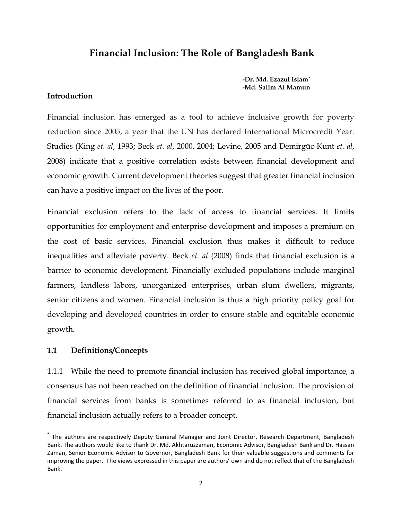## **Financial Inclusion: The Role of Bangladesh Bank**

**-Dr. Md. Ezazul Islam\* -Md. Salim Al Mamun**

#### **Introduction**

Financial inclusion has emerged as a tool to achieve inclusive growth for poverty reduction since 2005, a year that the UN has declared International Microcredit Year. Studies (King *et. al*, 1993; Beck *et. al*, 2000, 2004; Levine, 2005 and Demirgüc-Kunt *et. al*, 2008) indicate that a positive correlation exists between financial development and economic growth. Current development theories suggest that greater financial inclusion can have a positive impact on the lives of the poor.

Financial exclusion refers to the lack of access to financial services. It limits opportunities for employment and enterprise development and imposes a premium on the cost of basic services. Financial exclusion thus makes it difficult to reduce inequalities and alleviate poverty. Beck *et. al* (2008) finds that financial exclusion is a barrier to economic development. Financially excluded populations include marginal farmers, landless labors, unorganized enterprises, urban slum dwellers, migrants, senior citizens and women. Financial inclusion is thus a high priority policy goal for developing and developed countries in order to ensure stable and equitable economic growth.

#### **1.1 Definitions/Concepts**

l

1.1.1 While the need to promote financial inclusion has received global importance, a consensus has not been reached on the definition of financial inclusion. The provision of financial services from banks is sometimes referred to as financial inclusion, but financial inclusion actually refers to a broader concept.

<sup>\*</sup> The authors are respectively Deputy General Manager and Joint Director, Research Department, Bangladesh Bank. The authors would like to thank Dr. Md. Akhtaruzzaman, Economic Advisor, Bangladesh Bank and Dr. Hassan Zaman, Senior Economic Advisor to Governor, Bangladesh Bank for their valuable suggestions and comments for improving the paper. The views expressed in this paper are authors' own and do not reflect that of the Bangladesh Bank.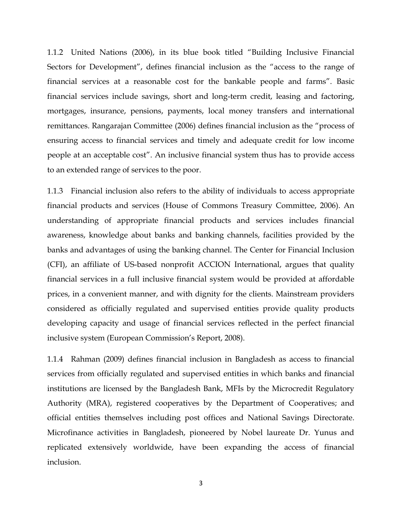1.1.2 United Nations (2006), in its blue book titled "Building Inclusive Financial Sectors for Development", defines financial inclusion as the "access to the range of financial services at a reasonable cost for the bankable people and farms". Basic financial services include savings, short and long-term credit, leasing and factoring, mortgages, insurance, pensions, payments, local money transfers and international remittances. Rangarajan Committee (2006) defines financial inclusion as the "process of ensuring access to financial services and timely and adequate credit for low income people at an acceptable cost". An inclusive financial system thus has to provide access to an extended range of services to the poor.

1.1.3 Financial inclusion also refers to the ability of individuals to access appropriate financial products and services (House of Commons Treasury Committee, 2006). An understanding of appropriate financial products and services includes financial awareness, knowledge about banks and banking channels, facilities provided by the banks and advantages of using the banking channel. The Center for Financial Inclusion (CFI), an affiliate of US-based nonprofit ACCION International, argues that quality financial services in a full inclusive financial system would be provided at affordable prices, in a convenient manner, and with dignity for the clients. Mainstream providers considered as officially regulated and supervised entities provide quality products developing capacity and usage of financial services reflected in the perfect financial inclusive system (European Commission's Report, 2008).

1.1.4 Rahman (2009) defines financial inclusion in Bangladesh as access to financial services from officially regulated and supervised entities in which banks and financial institutions are licensed by the Bangladesh Bank, MFIs by the Microcredit Regulatory Authority (MRA), registered cooperatives by the Department of Cooperatives; and official entities themselves including post offices and National Savings Directorate. Microfinance activities in Bangladesh, pioneered by Nobel laureate Dr. Yunus and replicated extensively worldwide, have been expanding the access of financial inclusion.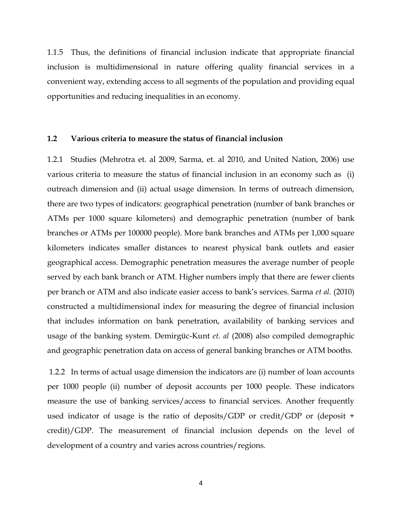1.1.5 Thus, the definitions of financial inclusion indicate that appropriate financial inclusion is multidimensional in nature offering quality financial services in a convenient way, extending access to all segments of the population and providing equal opportunities and reducing inequalities in an economy.

#### **1.2 Various criteria to measure the status of financial inclusion**

1.2.1 Studies (Mehrotra et. al 2009, Sarma, et. al 2010, and United Nation, 2006) use various criteria to measure the status of financial inclusion in an economy such as (i) outreach dimension and (ii) actual usage dimension. In terms of outreach dimension, there are two types of indicators: geographical penetration (number of bank branches or ATMs per 1000 square kilometers) and demographic penetration (number of bank branches or ATMs per 100000 people). More bank branches and ATMs per 1,000 square kilometers indicates smaller distances to nearest physical bank outlets and easier geographical access. Demographic penetration measures the average number of people served by each bank branch or ATM. Higher numbers imply that there are fewer clients per branch or ATM and also indicate easier access to bank"s services. Sarma *et al.* (2010) constructed a multidimensional index for measuring the degree of financial inclusion that includes information on bank penetration, availability of banking services and usage of the banking system. Demirgüc-Kunt *et. al* (2008) also compiled demographic and geographic penetration data on access of general banking branches or ATM booths.

1.2.2 In terms of actual usage dimension the indicators are (i) number of loan accounts per 1000 people (ii) number of deposit accounts per 1000 people. These indicators measure the use of banking services/access to financial services. Another frequently used indicator of usage is the ratio of deposits/GDP or credit/GDP or (deposit + credit)/GDP. The measurement of financial inclusion depends on the level of development of a country and varies across countries/regions.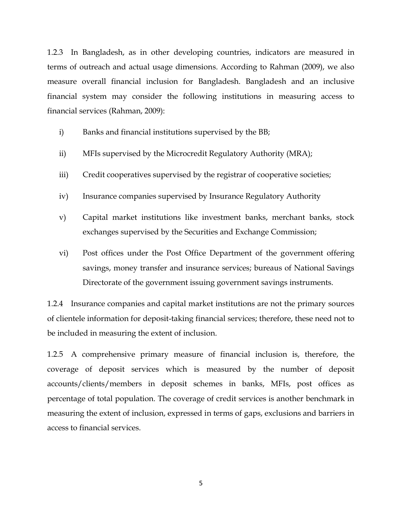1.2.3 In Bangladesh, as in other developing countries, indicators are measured in terms of outreach and actual usage dimensions. According to Rahman (2009), we also measure overall financial inclusion for Bangladesh. Bangladesh and an inclusive financial system may consider the following institutions in measuring access to financial services (Rahman, 2009):

- i) Banks and financial institutions supervised by the BB;
- ii) MFIs supervised by the Microcredit Regulatory Authority (MRA);
- iii) Credit cooperatives supervised by the registrar of cooperative societies;
- iv) Insurance companies supervised by Insurance Regulatory Authority
- v) Capital market institutions like investment banks, merchant banks, stock exchanges supervised by the Securities and Exchange Commission;
- vi) Post offices under the Post Office Department of the government offering savings, money transfer and insurance services; bureaus of National Savings Directorate of the government issuing government savings instruments.

1.2.4 Insurance companies and capital market institutions are not the primary sources of clientele information for deposit-taking financial services; therefore, these need not to be included in measuring the extent of inclusion.

1.2.5 A comprehensive primary measure of financial inclusion is, therefore, the coverage of deposit services which is measured by the number of deposit accounts/clients/members in deposit schemes in banks, MFIs, post offices as percentage of total population. The coverage of credit services is another benchmark in measuring the extent of inclusion, expressed in terms of gaps, exclusions and barriers in access to financial services.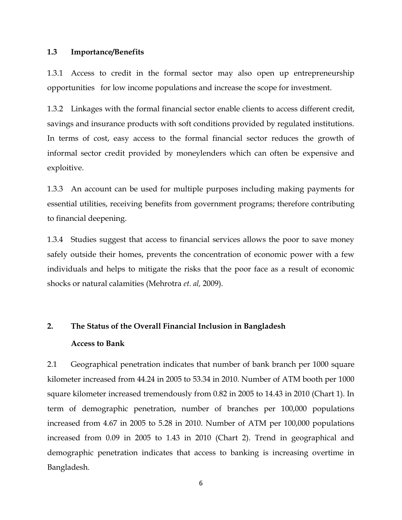#### **1.3 Importance/Benefits**

1.3.1 Access to credit in the formal sector may also open up entrepreneurship opportunities for low income populations and increase the scope for investment.

1.3.2 Linkages with the formal financial sector enable clients to access different credit, savings and insurance products with soft conditions provided by regulated institutions. In terms of cost, easy access to the formal financial sector reduces the growth of informal sector credit provided by moneylenders which can often be expensive and exploitive.

1.3.3 An account can be used for multiple purposes including making payments for essential utilities, receiving benefits from government programs; therefore contributing to financial deepening.

1.3.4 Studies suggest that access to financial services allows the poor to save money safely outside their homes, prevents the concentration of economic power with a few individuals and helps to mitigate the risks that the poor face as a result of economic shocks or natural calamities (Mehrotra *et. al,* 2009).

# **2. The Status of the Overall Financial Inclusion in Bangladesh Access to Bank**

2.1 Geographical penetration indicates that number of bank branch per 1000 square kilometer increased from 44.24 in 2005 to 53.34 in 2010. Number of ATM booth per 1000 square kilometer increased tremendously from 0.82 in 2005 to 14.43 in 2010 (Chart 1). In term of demographic penetration, number of branches per 100,000 populations increased from 4.67 in 2005 to 5.28 in 2010. Number of ATM per 100,000 populations increased from 0.09 in 2005 to 1.43 in 2010 (Chart 2). Trend in geographical and demographic penetration indicates that access to banking is increasing overtime in Bangladesh.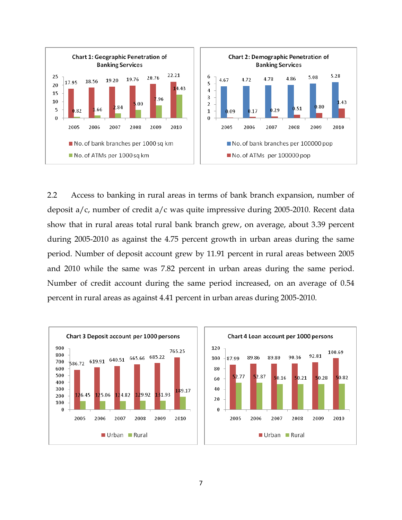

2.2 Access to banking in rural areas in terms of bank branch expansion, number of deposit a/c, number of credit a/c was quite impressive during 2005-2010. Recent data show that in rural areas total rural bank branch grew, on average, about 3.39 percent during 2005-2010 as against the 4.75 percent growth in urban areas during the same period. Number of deposit account grew by 11.91 percent in rural areas between 2005 and 2010 while the same was 7.82 percent in urban areas during the same period. Number of credit account during the same period increased, on an average of 0.54 percent in rural areas as against 4.41 percent in urban areas during 2005-2010.



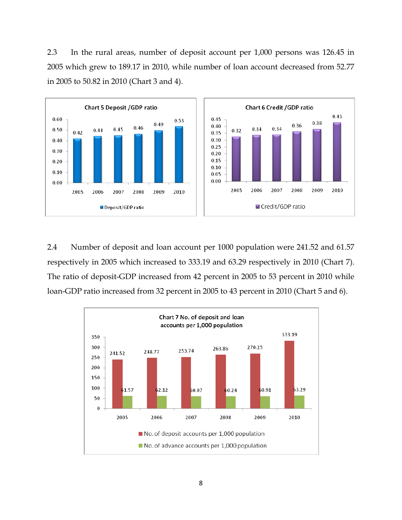2.3 In the rural areas, number of deposit account per 1,000 persons was 126.45 in 2005 which grew to 189.17 in 2010, while number of loan account decreased from 52.77 in 2005 to 50.82 in 2010 (Chart 3 and 4).



2.4 Number of deposit and loan account per 1000 population were 241.52 and 61.57 respectively in 2005 which increased to 333.19 and 63.29 respectively in 2010 (Chart 7). The ratio of deposit-GDP increased from 42 percent in 2005 to 53 percent in 2010 while loan-GDP ratio increased from 32 percent in 2005 to 43 percent in 2010 (Chart 5 and 6).

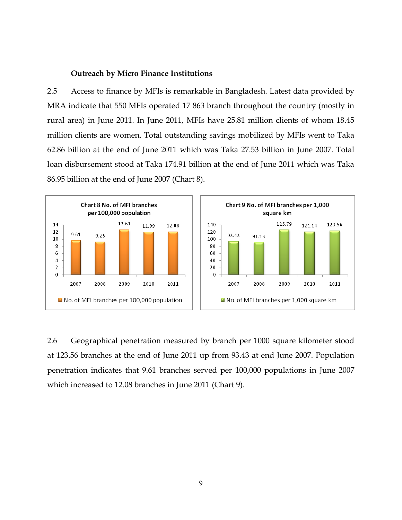#### **Outreach by Micro Finance Institutions**

2.5 Access to finance by MFIs is remarkable in Bangladesh. Latest data provided by MRA indicate that 550 MFIs operated 17 863 branch throughout the country (mostly in rural area) in June 2011. In June 2011, MFIs have 25.81 million clients of whom 18.45 million clients are women. Total outstanding savings mobilized by MFIs went to Taka 62.86 billion at the end of June 2011 which was Taka 27.53 billion in June 2007. Total loan disbursement stood at Taka 174.91 billion at the end of June 2011 which was Taka 86.95 billion at the end of June 2007 (Chart 8).



2.6 Geographical penetration measured by branch per 1000 square kilometer stood at 123.56 branches at the end of June 2011 up from 93.43 at end June 2007. Population penetration indicates that 9.61 branches served per 100,000 populations in June 2007 which increased to 12.08 branches in June 2011 (Chart 9).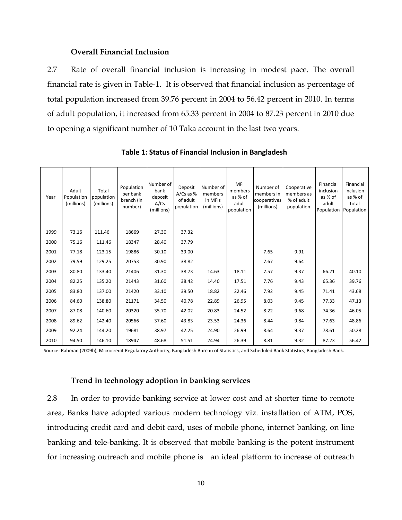#### **Overall Financial Inclusion**

2.7 Rate of overall financial inclusion is increasing in modest pace. The overall financial rate is given in Table-1. It is observed that financial inclusion as percentage of total population increased from 39.76 percent in 2004 to 56.42 percent in 2010. In terms of adult population, it increased from 65.33 percent in 2004 to 87.23 percent in 2010 due to opening a significant number of 10 Taka account in the last two years.

| Year | Adult<br>Population<br>(millions) | Total<br>population<br>(millions) | Population<br>per bank<br>branch (in<br>number) | Number of<br>bank<br>deposit<br>A/Cs<br>(millions) | Deposit<br>$A/Cs$ as %<br>of adult<br>population | Number of<br>members<br>in MFIs<br>(millions) | <b>MFI</b><br>members<br>as % of<br>adult<br>population | Number of<br>members in<br>cooperatives<br>(millions) | Cooperative<br>members as<br>% of adult<br>population | Financial<br>inclusion<br>as % of<br>adult | Financial<br>inclusion<br>as % of<br>total<br>Population Population |
|------|-----------------------------------|-----------------------------------|-------------------------------------------------|----------------------------------------------------|--------------------------------------------------|-----------------------------------------------|---------------------------------------------------------|-------------------------------------------------------|-------------------------------------------------------|--------------------------------------------|---------------------------------------------------------------------|
| 1999 | 73.16                             | 111.46                            | 18669                                           | 27.30                                              | 37.32                                            |                                               |                                                         |                                                       |                                                       |                                            |                                                                     |
| 2000 | 75.16                             | 111.46                            | 18347                                           | 28.40                                              | 37.79                                            |                                               |                                                         |                                                       |                                                       |                                            |                                                                     |
| 2001 | 77.18                             | 123.15                            | 19886                                           | 30.10                                              | 39.00                                            |                                               |                                                         | 7.65                                                  | 9.91                                                  |                                            |                                                                     |
| 2002 | 79.59                             | 129.25                            | 20753                                           | 30.90                                              | 38.82                                            |                                               |                                                         | 7.67                                                  | 9.64                                                  |                                            |                                                                     |
| 2003 | 80.80                             | 133.40                            | 21406                                           | 31.30                                              | 38.73                                            | 14.63                                         | 18.11                                                   | 7.57                                                  | 9.37                                                  | 66.21                                      | 40.10                                                               |
| 2004 | 82.25                             | 135.20                            | 21443                                           | 31.60                                              | 38.42                                            | 14.40                                         | 17.51                                                   | 7.76                                                  | 9.43                                                  | 65.36                                      | 39.76                                                               |
| 2005 | 83.80                             | 137.00                            | 21420                                           | 33.10                                              | 39.50                                            | 18.82                                         | 22.46                                                   | 7.92                                                  | 9.45                                                  | 71.41                                      | 43.68                                                               |
| 2006 | 84.60                             | 138.80                            | 21171                                           | 34.50                                              | 40.78                                            | 22.89                                         | 26.95                                                   | 8.03                                                  | 9.45                                                  | 77.33                                      | 47.13                                                               |
| 2007 | 87.08                             | 140.60                            | 20320                                           | 35.70                                              | 42.02                                            | 20.83                                         | 24.52                                                   | 8.22                                                  | 9.68                                                  | 74.36                                      | 46.05                                                               |
| 2008 | 89.62                             | 142.40                            | 20566                                           | 37.60                                              | 43.83                                            | 23.53                                         | 24.36                                                   | 8.44                                                  | 9.84                                                  | 77.63                                      | 48.86                                                               |
| 2009 | 92.24                             | 144.20                            | 19681                                           | 38.97                                              | 42.25                                            | 24.90                                         | 26.99                                                   | 8.64                                                  | 9.37                                                  | 78.61                                      | 50.28                                                               |
| 2010 | 94.50                             | 146.10                            | 18947                                           | 48.68                                              | 51.51                                            | 24.94                                         | 26.39                                                   | 8.81                                                  | 9.32                                                  | 87.23                                      | 56.42                                                               |

**Table 1: Status of Financial Inclusion in Bangladesh**

Source: Rahman (2009b), Microcredit Regulatory Authority, Bangladesh Bureau of Statistics, and Scheduled Bank Statistics, Bangladesh Bank.

#### **Trend in technology adoption in banking services**

2.8 In order to provide banking service at lower cost and at shorter time to remote area, Banks have adopted various modern technology viz. installation of ATM, POS, introducing credit card and debit card, uses of mobile phone, internet banking, on line banking and tele-banking. It is observed that mobile banking is the potent instrument for increasing outreach and mobile phone is an ideal platform to increase of outreach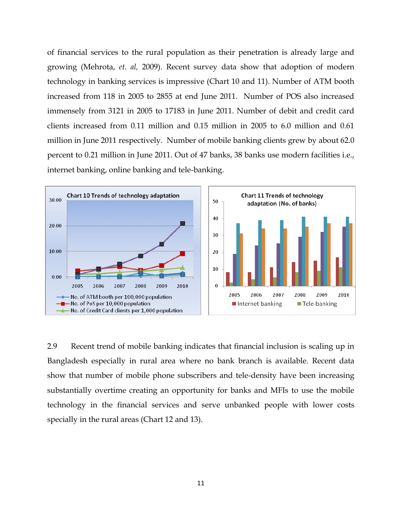of financial services to the rural population as their penetration is already large and growing (Mehrota, *et. al,* 2009). Recent survey data show that adoption of modern technology in banking services is impressive (Chart 10 and 11). Number of ATM booth increased from 118 in 2005 to 2855 at end June 2011. Number of POS also increased immensely from 3121 in 2005 to 17183 in June 2011. Number of debit and credit card clients increased from 0.11 million and 0.15 million in 2005 to 6.0 million and 0.61 million in June 2011 respectively. Number of mobile banking clients grew by about 62.0 percent to 0.21 million in June 2011. Out of 47 banks, 38 banks use modern facilities i.e., internet banking, online banking and tele-banking.



2.9 Recent trend of mobile banking indicates that financial inclusion is scaling up in Bangladesh especially in rural area where no bank branch is available. Recent data show that number of mobile phone subscribers and tele-density have been increasing substantially overtime creating an opportunity for banks and MFIs to use the mobile technology in the financial services and serve unbanked people with lower costs specially in the rural areas (Chart 12 and 13).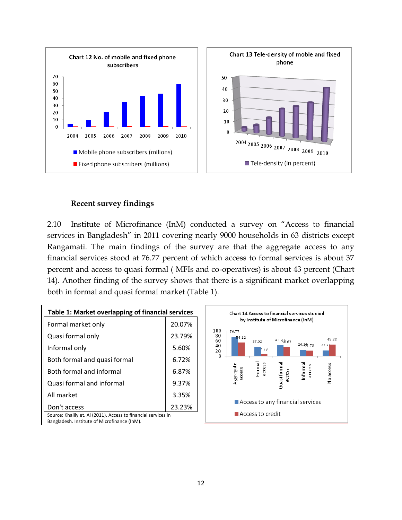

### **Recent survey findings**

2.10 Institute of Microfinance (InM) conducted a survey on "Access to financial services in Bangladesh" in 2011 covering nearly 9000 households in 63 districts except Rangamati. The main findings of the survey are that the aggregate access to any financial services stood at 76.77 percent of which access to formal services is about 37 percent and access to quasi formal ( MFIs and co-operatives) is about 43 percent (Chart 14). Another finding of the survey shows that there is a significant market overlapping both in formal and quasi formal market (Table 1).

| Table 1: Market overlapping of financial services           |        |  |  |  |  |  |  |  |
|-------------------------------------------------------------|--------|--|--|--|--|--|--|--|
| Formal market only                                          | 20.07% |  |  |  |  |  |  |  |
| Quasi formal only                                           | 23.79% |  |  |  |  |  |  |  |
| Informal only                                               | 5.60%  |  |  |  |  |  |  |  |
| Both formal and quasi formal                                | 6.72%  |  |  |  |  |  |  |  |
| Both formal and informal                                    | 6.87%  |  |  |  |  |  |  |  |
| Quasi formal and informal                                   | 9.37%  |  |  |  |  |  |  |  |
| All market                                                  | 3.35%  |  |  |  |  |  |  |  |
| Don't access                                                | 23.23% |  |  |  |  |  |  |  |
| Source: Khalily et AL(2011) Access to financial services in |        |  |  |  |  |  |  |  |



Source: Khalily et. Al (2011). Access to financial services in Bangladesh. Institute of Microfinance (InM).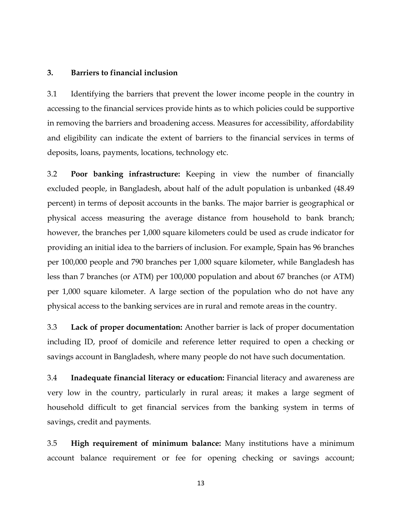#### **3. Barriers to financial inclusion**

3.1 Identifying the barriers that prevent the lower income people in the country in accessing to the financial services provide hints as to which policies could be supportive in removing the barriers and broadening access. Measures for accessibility, affordability and eligibility can indicate the extent of barriers to the financial services in terms of deposits, loans, payments, locations, technology etc.

3.2 **Poor banking infrastructure:** Keeping in view the number of financially excluded people, in Bangladesh, about half of the adult population is unbanked (48.49 percent) in terms of deposit accounts in the banks. The major barrier is geographical or physical access measuring the average distance from household to bank branch; however, the branches per 1,000 square kilometers could be used as crude indicator for providing an initial idea to the barriers of inclusion. For example, Spain has 96 branches per 100,000 people and 790 branches per 1,000 square kilometer, while Bangladesh has less than 7 branches (or ATM) per 100,000 population and about 67 branches (or ATM) per 1,000 square kilometer. A large section of the population who do not have any physical access to the banking services are in rural and remote areas in the country.

3.3 **Lack of proper documentation:** Another barrier is lack of proper documentation including ID, proof of domicile and reference letter required to open a checking or savings account in Bangladesh, where many people do not have such documentation.

3.4 **Inadequate financial literacy or education:** Financial literacy and awareness are very low in the country, particularly in rural areas; it makes a large segment of household difficult to get financial services from the banking system in terms of savings, credit and payments.

3.5 **High requirement of minimum balance:** Many institutions have a minimum account balance requirement or fee for opening checking or savings account;

13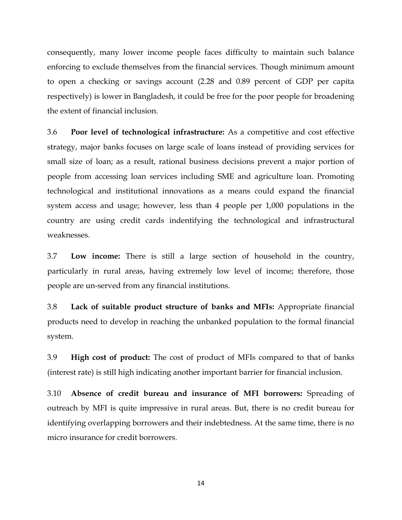consequently, many lower income people faces difficulty to maintain such balance enforcing to exclude themselves from the financial services. Though minimum amount to open a checking or savings account (2.28 and 0.89 percent of GDP per capita respectively) is lower in Bangladesh, it could be free for the poor people for broadening the extent of financial inclusion.

3.6 **Poor level of technological infrastructure:** As a competitive and cost effective strategy, major banks focuses on large scale of loans instead of providing services for small size of loan; as a result, rational business decisions prevent a major portion of people from accessing loan services including SME and agriculture loan. Promoting technological and institutional innovations as a means could expand the financial system access and usage; however, less than 4 people per 1,000 populations in the country are using credit cards indentifying the technological and infrastructural weaknesses.

3.7 **Low income:** There is still a large section of household in the country, particularly in rural areas, having extremely low level of income; therefore, those people are un-served from any financial institutions.

3.8 **Lack of suitable product structure of banks and MFIs:** Appropriate financial products need to develop in reaching the unbanked population to the formal financial system.

3.9 **High cost of product:** The cost of product of MFIs compared to that of banks (interest rate) is still high indicating another important barrier for financial inclusion.

3.10 **Absence of credit bureau and insurance of MFI borrowers:** Spreading of outreach by MFI is quite impressive in rural areas. But, there is no credit bureau for identifying overlapping borrowers and their indebtedness. At the same time, there is no micro insurance for credit borrowers.

14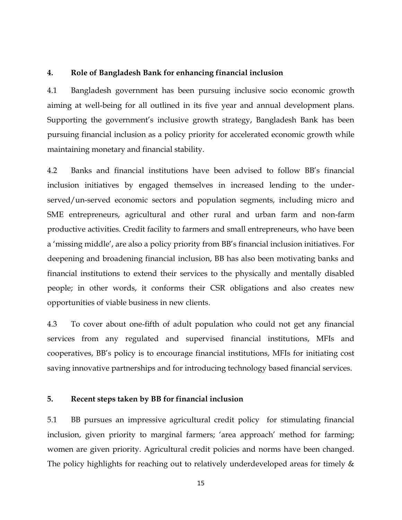#### **4. Role of Bangladesh Bank for enhancing financial inclusion**

4.1 Bangladesh government has been pursuing inclusive socio economic growth aiming at well-being for all outlined in its five year and annual development plans. Supporting the government's inclusive growth strategy, Bangladesh Bank has been pursuing financial inclusion as a policy priority for accelerated economic growth while maintaining monetary and financial stability.

4.2 Banks and financial institutions have been advised to follow BB"s financial inclusion initiatives by engaged themselves in increased lending to the underserved/un-served economic sectors and population segments, including micro and SME entrepreneurs, agricultural and other rural and urban farm and non-farm productive activities. Credit facility to farmers and small entrepreneurs, who have been a "missing middle", are also a policy priority from BB"s financial inclusion initiatives. For deepening and broadening financial inclusion, BB has also been motivating banks and financial institutions to extend their services to the physically and mentally disabled people; in other words, it conforms their CSR obligations and also creates new opportunities of viable business in new clients.

4.3 To cover about one-fifth of adult population who could not get any financial services from any regulated and supervised financial institutions, MFIs and cooperatives, BB"s policy is to encourage financial institutions, MFIs for initiating cost saving innovative partnerships and for introducing technology based financial services.

#### **5. Recent steps taken by BB for financial inclusion**

5.1 BB pursues an impressive agricultural credit policy for stimulating financial inclusion, given priority to marginal farmers; 'area approach' method for farming; women are given priority. Agricultural credit policies and norms have been changed. The policy highlights for reaching out to relatively underdeveloped areas for timely &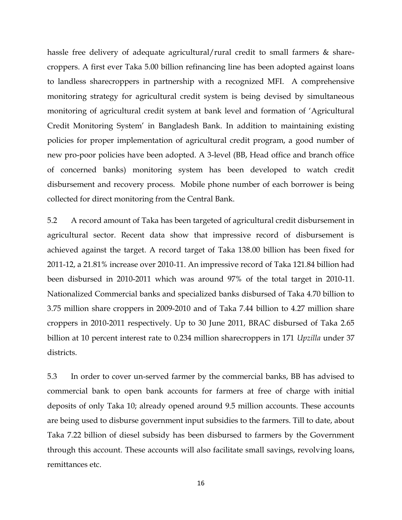hassle free delivery of adequate agricultural/rural credit to small farmers & sharecroppers. A first ever Taka 5.00 billion refinancing line has been adopted against loans to landless sharecroppers in partnership with a recognized MFI. A comprehensive monitoring strategy for agricultural credit system is being devised by simultaneous monitoring of agricultural credit system at bank level and formation of "Agricultural Credit Monitoring System" in Bangladesh Bank. In addition to maintaining existing policies for proper implementation of agricultural credit program, a good number of new pro-poor policies have been adopted. A 3-level (BB, Head office and branch office of concerned banks) monitoring system has been developed to watch credit disbursement and recovery process. Mobile phone number of each borrower is being collected for direct monitoring from the Central Bank.

5.2 A record amount of Taka has been targeted of agricultural credit disbursement in agricultural sector. Recent data show that impressive record of disbursement is achieved against the target. A record target of Taka 138.00 billion has been fixed for 2011-12, a 21.81% increase over 2010-11. An impressive record of Taka 121.84 billion had been disbursed in 2010-2011 which was around 97% of the total target in 2010-11. Nationalized Commercial banks and specialized banks disbursed of Taka 4.70 billion to 3.75 million share croppers in 2009-2010 and of Taka 7.44 billion to 4.27 million share croppers in 2010-2011 respectively. Up to 30 June 2011, BRAC disbursed of Taka 2.65 billion at 10 percent interest rate to 0.234 million sharecroppers in 171 *Upzilla* under 37 districts.

5.3 In order to cover un-served farmer by the commercial banks, BB has advised to commercial bank to open bank accounts for farmers at free of charge with initial deposits of only Taka 10; already opened around 9.5 million accounts. These accounts are being used to disburse government input subsidies to the farmers. Till to date, about Taka 7.22 billion of diesel subsidy has been disbursed to farmers by the Government through this account. These accounts will also facilitate small savings, revolving loans, remittances etc.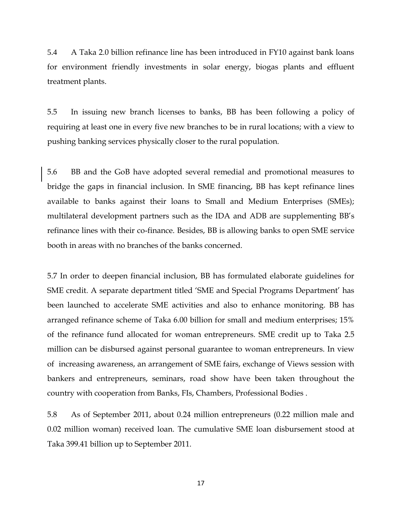5.4 A Taka 2.0 billion refinance line has been introduced in FY10 against bank loans for environment friendly investments in solar energy, biogas plants and effluent treatment plants.

5.5 In issuing new branch licenses to banks, BB has been following a policy of requiring at least one in every five new branches to be in rural locations; with a view to pushing banking services physically closer to the rural population.

5.6 BB and the GoB have adopted several remedial and promotional measures to bridge the gaps in financial inclusion. In SME financing, BB has kept refinance lines available to banks against their loans to Small and Medium Enterprises (SMEs); multilateral development partners such as the IDA and ADB are supplementing BB"s refinance lines with their co-finance. Besides, BB is allowing banks to open SME service booth in areas with no branches of the banks concerned.

5.7 In order to deepen financial inclusion, BB has formulated elaborate guidelines for SME credit. A separate department titled 'SME and Special Programs Department' has been launched to accelerate SME activities and also to enhance monitoring. BB has arranged refinance scheme of Taka 6.00 billion for small and medium enterprises; 15% of the refinance fund allocated for woman entrepreneurs. SME credit up to Taka 2.5 million can be disbursed against personal guarantee to woman entrepreneurs. In view of increasing awareness, an arrangement of SME fairs, exchange of Views session with bankers and entrepreneurs, seminars, road show have been taken throughout the country with cooperation from Banks, FIs, Chambers, Professional Bodies .

5.8 As of September 2011, about 0.24 million entrepreneurs (0.22 million male and 0.02 million woman) received loan. The cumulative SME loan disbursement stood at Taka 399.41 billion up to September 2011.

17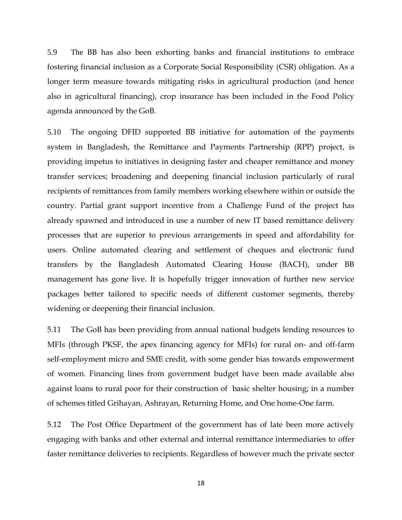5.9 The BB has also been exhorting banks and financial institutions to embrace fostering financial inclusion as a Corporate Social Responsibility (CSR) obligation. As a longer term measure towards mitigating risks in agricultural production (and hence also in agricultural financing), crop insurance has been included in the Food Policy agenda announced by the GoB.

5.10 The ongoing DFID supported BB initiative for automation of the payments system in Bangladesh, the Remittance and Payments Partnership (RPP) project, is providing impetus to initiatives in designing faster and cheaper remittance and money transfer services; broadening and deepening financial inclusion particularly of rural recipients of remittances from family members working elsewhere within or outside the country. Partial grant support incentive from a Challenge Fund of the project has already spawned and introduced in use a number of new IT based remittance delivery processes that are superior to previous arrangements in speed and affordability for users. Online automated clearing and settlement of cheques and electronic fund transfers by the Bangladesh Automated Clearing House (BACH), under BB management has gone live. It is hopefully trigger innovation of further new service packages better tailored to specific needs of different customer segments, thereby widening or deepening their financial inclusion.

5.11 The GoB has been providing from annual national budgets lending resources to MFIs (through PKSF, the apex financing agency for MFIs) for rural on- and off-farm self-employment micro and SME credit, with some gender bias towards empowerment of women. Financing lines from government budget have been made available also against loans to rural poor for their construction of basic shelter housing; in a number of schemes titled Grihayan, Ashrayan, Returning Home, and One home-One farm.

5.12 The Post Office Department of the government has of late been more actively engaging with banks and other external and internal remittance intermediaries to offer faster remittance deliveries to recipients. Regardless of however much the private sector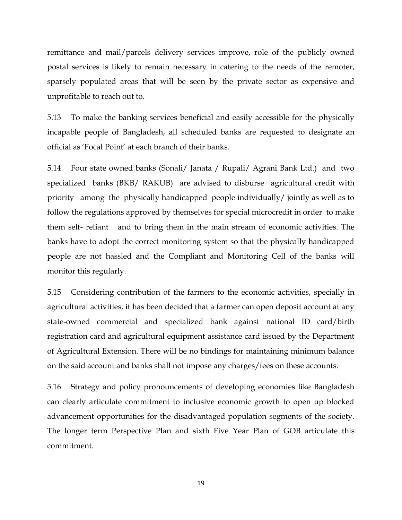remittance and mail/parcels delivery services improve, role of the publicly owned postal services is likely to remain necessary in catering to the needs of the remoter, sparsely populated areas that will be seen by the private sector as expensive and unprofitable to reach out to.

5.13 To make the banking services beneficial and easily accessible for the physically incapable people of Bangladesh, all scheduled banks are requested to designate an official as "Focal Point" at each branch of their banks.

5.14 Four state owned banks (Sonali/ Janata / Rupali/ Agrani Bank Ltd.) and two specialized banks (BKB/ RAKUB) are advised to disburse agricultural credit with priority among the physically handicapped people individually/ jointly as well as to follow the regulations approved by themselves for special microcredit in order to make them self- reliant and to bring them in the main stream of economic activities. The banks have to adopt the correct monitoring system so that the physically handicapped people are not hassled and the Compliant and Monitoring Cell of the banks will monitor this regularly.

5.15 Considering contribution of the farmers to the economic activities, specially in agricultural activities, it has been decided that a farmer can open deposit account at any state-owned commercial and specialized bank against national ID card/birth registration card and agricultural equipment assistance card issued by the Department of Agricultural Extension. There will be no bindings for maintaining minimum balance on the said account and banks shall not impose any charges/fees on these accounts.

5.16 Strategy and policy pronouncements of developing economies like Bangladesh can clearly articulate commitment to inclusive economic growth to open up blocked advancement opportunities for the disadvantaged population segments of the society. The longer term Perspective Plan and sixth Five Year Plan of GOB articulate this commitment.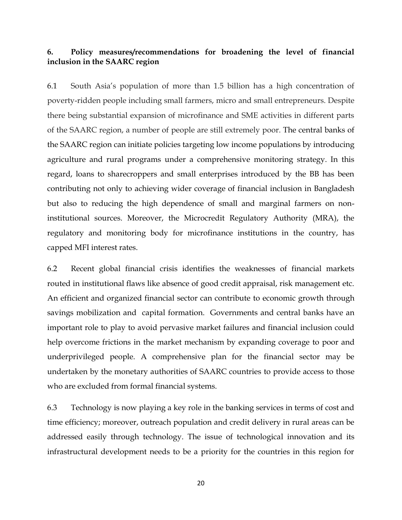### **6. Policy measures/recommendations for broadening the level of financial inclusion in the SAARC region**

6.1 South Asia"s population of more than 1.5 billion has a high concentration of poverty-ridden people including small farmers, micro and small entrepreneurs. Despite there being substantial expansion of microfinance and SME activities in different parts of the SAARC region, a number of people are still extremely poor. The central banks of the SAARC region can initiate policies targeting low income populations by introducing agriculture and rural programs under a comprehensive monitoring strategy. In this regard, loans to sharecroppers and small enterprises introduced by the BB has been contributing not only to achieving wider coverage of financial inclusion in Bangladesh but also to reducing the high dependence of small and marginal farmers on noninstitutional sources. Moreover, the Microcredit Regulatory Authority (MRA), the regulatory and monitoring body for microfinance institutions in the country, has capped MFI interest rates.

6.2 Recent global financial crisis identifies the weaknesses of financial markets routed in institutional flaws like absence of good credit appraisal, risk management etc. An efficient and organized financial sector can contribute to economic growth through savings mobilization and capital formation. Governments and central banks have an important role to play to avoid pervasive market failures and financial inclusion could help overcome frictions in the market mechanism by expanding coverage to poor and underprivileged people. A comprehensive plan for the financial sector may be undertaken by the monetary authorities of SAARC countries to provide access to those who are excluded from formal financial systems.

6.3 Technology is now playing a key role in the banking services in terms of cost and time efficiency; moreover, outreach population and credit delivery in rural areas can be addressed easily through technology. The issue of technological innovation and its infrastructural development needs to be a priority for the countries in this region for